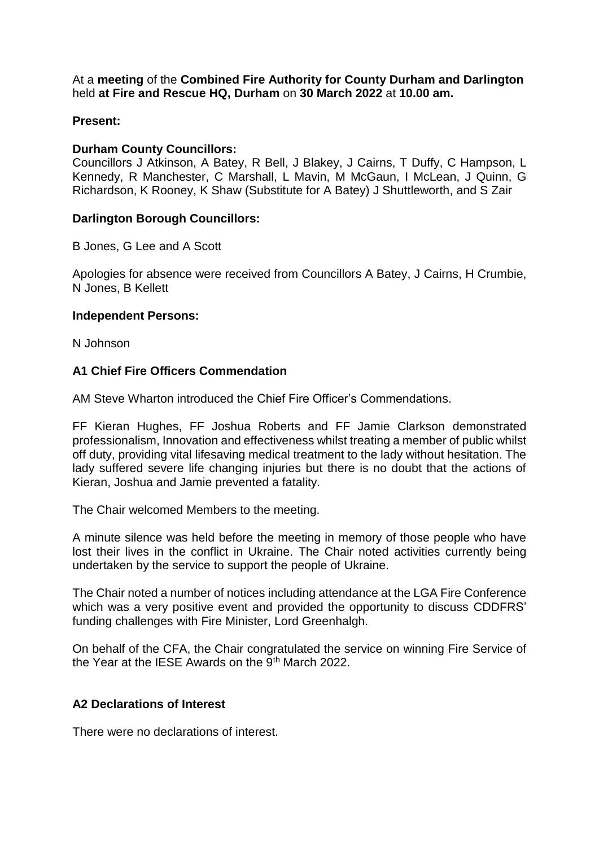At a **meeting** of the **Combined Fire Authority for County Durham and Darlington** held **at Fire and Rescue HQ, Durham** on **30 March 2022** at **10.00 am.**

## **Present:**

#### **Durham County Councillors:**

Councillors J Atkinson, A Batey, R Bell, J Blakey, J Cairns, T Duffy, C Hampson, L Kennedy, R Manchester, C Marshall, L Mavin, M McGaun, I McLean, J Quinn, G Richardson, K Rooney, K Shaw (Substitute for A Batey) J Shuttleworth, and S Zair

#### **Darlington Borough Councillors:**

B Jones, G Lee and A Scott

Apologies for absence were received from Councillors A Batey, J Cairns, H Crumbie, N Jones, B Kellett

#### **Independent Persons:**

N Johnson

## **A1 Chief Fire Officers Commendation**

AM Steve Wharton introduced the Chief Fire Officer's Commendations.

FF Kieran Hughes, FF Joshua Roberts and FF Jamie Clarkson demonstrated professionalism, Innovation and effectiveness whilst treating a member of public whilst off duty, providing vital lifesaving medical treatment to the lady without hesitation. The lady suffered severe life changing injuries but there is no doubt that the actions of Kieran, Joshua and Jamie prevented a fatality.

The Chair welcomed Members to the meeting.

A minute silence was held before the meeting in memory of those people who have lost their lives in the conflict in Ukraine. The Chair noted activities currently being undertaken by the service to support the people of Ukraine.

The Chair noted a number of notices including attendance at the LGA Fire Conference which was a very positive event and provided the opportunity to discuss CDDFRS' funding challenges with Fire Minister, Lord Greenhalgh.

On behalf of the CFA, the Chair congratulated the service on winning Fire Service of the Year at the IESE Awards on the  $9<sup>th</sup>$  March 2022.

## **A2 Declarations of Interest**

There were no declarations of interest.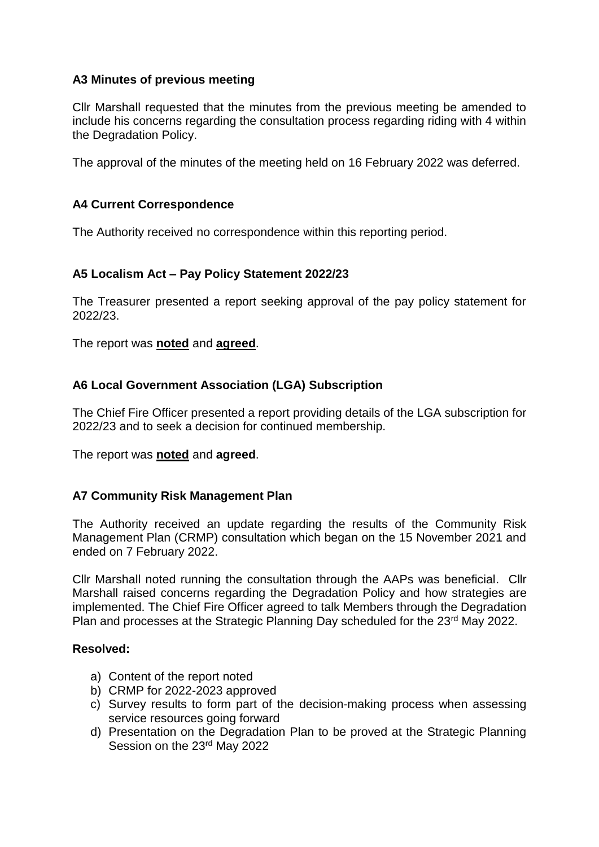## **A3 Minutes of previous meeting**

Cllr Marshall requested that the minutes from the previous meeting be amended to include his concerns regarding the consultation process regarding riding with 4 within the Degradation Policy.

The approval of the minutes of the meeting held on 16 February 2022 was deferred.

## **A4 Current Correspondence**

The Authority received no correspondence within this reporting period.

## **A5 Localism Act – Pay Policy Statement 2022/23**

The Treasurer presented a report seeking approval of the pay policy statement for 2022/23.

The report was **noted** and **agreed**.

## **A6 Local Government Association (LGA) Subscription**

The Chief Fire Officer presented a report providing details of the LGA subscription for 2022/23 and to seek a decision for continued membership.

The report was **noted** and **agreed**.

## **A7 Community Risk Management Plan**

The Authority received an update regarding the results of the Community Risk Management Plan (CRMP) consultation which began on the 15 November 2021 and ended on 7 February 2022.

Cllr Marshall noted running the consultation through the AAPs was beneficial. Cllr Marshall raised concerns regarding the Degradation Policy and how strategies are implemented. The Chief Fire Officer agreed to talk Members through the Degradation Plan and processes at the Strategic Planning Day scheduled for the 23<sup>rd</sup> May 2022.

## **Resolved:**

- a) Content of the report noted
- b) CRMP for 2022-2023 approved
- c) Survey results to form part of the decision-making process when assessing service resources going forward
- d) Presentation on the Degradation Plan to be proved at the Strategic Planning Session on the 23rd May 2022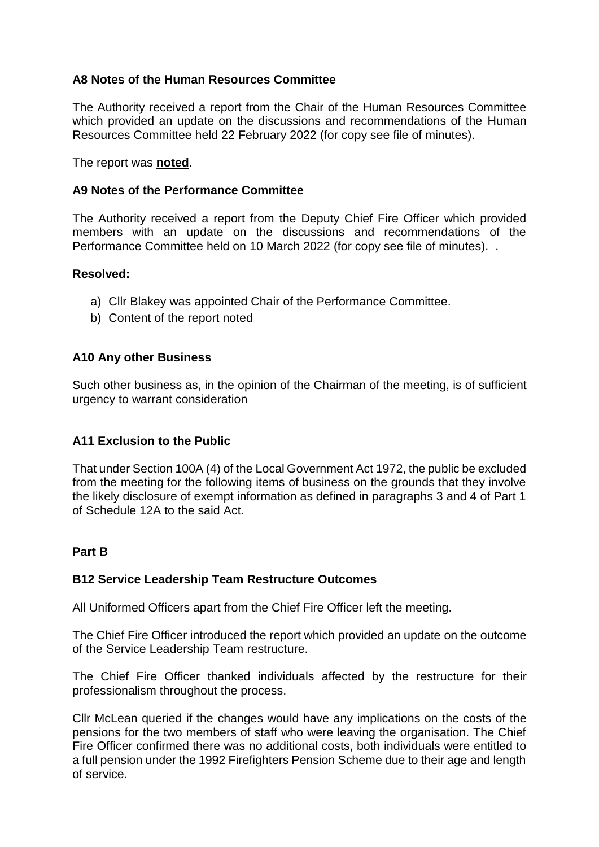## **A8 Notes of the Human Resources Committee**

The Authority received a report from the Chair of the Human Resources Committee which provided an update on the discussions and recommendations of the Human Resources Committee held 22 February 2022 (for copy see file of minutes).

The report was **noted**.

### **A9 Notes of the Performance Committee**

The Authority received a report from the Deputy Chief Fire Officer which provided members with an update on the discussions and recommendations of the Performance Committee held on 10 March 2022 (for copy see file of minutes). .

#### **Resolved:**

- a) Cllr Blakey was appointed Chair of the Performance Committee.
- b) Content of the report noted

#### **A10 Any other Business**

Such other business as, in the opinion of the Chairman of the meeting, is of sufficient urgency to warrant consideration

## **A11 Exclusion to the Public**

That under Section 100A (4) of the Local Government Act 1972, the public be excluded from the meeting for the following items of business on the grounds that they involve the likely disclosure of exempt information as defined in paragraphs 3 and 4 of Part 1 of Schedule 12A to the said Act.

#### **Part B**

## **B12 Service Leadership Team Restructure Outcomes**

All Uniformed Officers apart from the Chief Fire Officer left the meeting.

The Chief Fire Officer introduced the report which provided an update on the outcome of the Service Leadership Team restructure.

The Chief Fire Officer thanked individuals affected by the restructure for their professionalism throughout the process.

Cllr McLean queried if the changes would have any implications on the costs of the pensions for the two members of staff who were leaving the organisation. The Chief Fire Officer confirmed there was no additional costs, both individuals were entitled to a full pension under the 1992 Firefighters Pension Scheme due to their age and length of service.